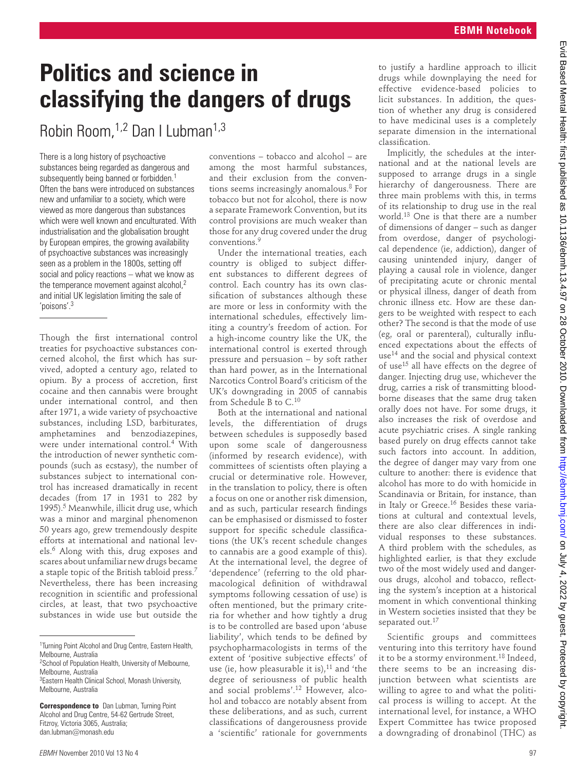## **Politics and science in classifying the dangers of drugs**

Robin Room, <sup>1,2</sup> Dan I Lubman<sup>1,3</sup>

There is a long history of psychoactive substances being regarded as dangerous and subsequently being banned or forbidden.<sup>1</sup> Often the bans were introduced on substances new and unfamiliar to a society, which were viewed as more dangerous than substances which were well known and enculturated. With industrialisation and the globalisation brought by European empires, the growing availability of psychoactive substances was increasingly seen as a problem in the 1800s, setting off social and policy reactions – what we know as the temperance movement against alcohol,<sup>2</sup> and initial UK legislation limiting the sale of 'poisons'.3

Though the first international control treaties for psychoactive substances concerned alcohol, the first which has survived, adopted a century ago, related to opium. By a process of accretion, first cocaine and then cannabis were brought under international control, and then after 1971, a wide variety of psychoactive substances, including LSD, barbiturates, amphetamines and benzodiazepines, were under international control.4 With the introduction of newer synthetic compounds (such as ecstasy), the number of substances subject to international control has increased dramatically in recent decades (from 17 in 1931 to 282 by 1995).5 Meanwhile, illicit drug use, which was a minor and marginal phenomenon 50 years ago, grew tremendously despite efforts at international and national levels.6 Along with this, drug exposes and scares about unfamiliar new drugs became a staple topic of the British tabloid press.<sup>7</sup> Nevertheless, there has been increasing recognition in scientific and professional circles, at least, that two psychoactive substances in wide use but outside the

**Correspondence to** Dan Lubman, Turning Point Alcohol and Drug Centre, 54-62 Gertrude Street, Fitzroy, Victoria 3065, Australia; dan.lubman@monash.edu

conventions – tobacco and alcohol – are among the most harmful substances, and their exclusion from the conventions seems increasingly anomalous.8 For tobacco but not for alcohol, there is now a separate Framework Convention, but its control provisions are much weaker than those for any drug covered under the drug conventions.<sup>9</sup>

Under the international treaties, each country is obliged to subject different substances to different degrees of control. Each country has its own classification of substances although these are more or less in conformity with the international schedules, effectively limiting a country's freedom of action. For a high-income country like the UK, the international control is exerted through pressure and persuasion – by soft rather than hard power, as in the International Narcotics Control Board's criticism of the UK's downgrading in 2005 of cannabis from Schedule B to C.<sup>10</sup>

Both at the international and national levels, the differentiation of drugs between schedules is supposedly based upon some scale of dangerousness (informed by research evidence), with committees of scientists often playing a crucial or determinative role. However, in the translation to policy, there is often a focus on one or another risk dimension, and as such, particular research findings can be emphasised or dismissed to foster support for specific schedule classifications (the UK's recent schedule changes to cannabis are a good example of this). At the international level, the degree of 'dependence' (referring to the old pharmacological definition of withdrawal symptoms following cessation of use) is often mentioned, but the primary criteria for whether and how tightly a drug is to be controlled are based upon 'abuse liability', which tends to be defined by psychopharmacologists in terms of the extent of 'positive subjective effects' of use (ie, how pleasurable it is), $^{11}$  and 'the degree of seriousness of public health and social problems'.12 However, alcohol and tobacco are notably absent from these deliberations, and as such, current classifications of dangerousness provide a 'scientific' rationale for governments

to justify a hardline approach to illicit drugs while downplaying the need for effective evidence-based policies to licit substances. In addition, the question of whether any drug is considered to have medicinal uses is a completely separate dimension in the international classifi cation.

Implicitly, the schedules at the international and at the national levels are supposed to arrange drugs in a single hierarchy of dangerousness. There are three main problems with this, in terms of its relationship to drug use in the real world.13 One is that there are a number of dimensions of danger – such as danger from overdose, danger of psychological dependence (ie, addiction), danger of causing unintended injury, danger of playing a causal role in violence, danger of precipitating acute or chronic mental or physical illness, danger of death from chronic illness etc. How are these dangers to be weighted with respect to each other? The second is that the mode of use (eg, oral or parenteral), culturally influenced expectations about the effects of use14 and the social and physical context of use15 all have effects on the degree of danger. Injecting drug use, whichever the drug, carries a risk of transmitting bloodborne diseases that the same drug taken orally does not have. For some drugs, it also increases the risk of overdose and acute psychiatric crises. A single ranking based purely on drug effects cannot take such factors into account. In addition, the degree of danger may vary from one culture to another: there is evidence that alcohol has more to do with homicide in Scandinavia or Britain, for instance, than in Italy or Greece.16 Besides these variations at cultural and contextual levels, there are also clear differences in individual responses to these substances. A third problem with the schedules, as highlighted earlier, is that they exclude two of the most widely used and dangerous drugs, alcohol and tobacco, reflecting the system's inception at a historical moment in which conventional thinking in Western societies insisted that they be separated out.<sup>17</sup> **POIITICE and SCIENCE in the component of THIS specification in the component by component by component by component by component by the component of the component by the component of the component of the component of the** 

Scientific groups and committees venturing into this territory have found it to be a stormy environment.18 Indeed, there seems to be an increasing disjunction between what scientists are willing to agree to and what the political process is willing to accept. At the international level, for instance, a WHO Expert Committee has twice proposed a downgrading of dronabinol (THC) as

<sup>&</sup>lt;sup>1</sup>Turning Point Alcohol and Drug Centre, Eastern Health, Melbourne, Australia

<sup>&</sup>lt;sup>2</sup>School of Population Health, University of Melbourne, Melbourne, Australia

<sup>&</sup>lt;sup>3</sup>Eastern Health Clinical School, Monash University, Melbourne, Australia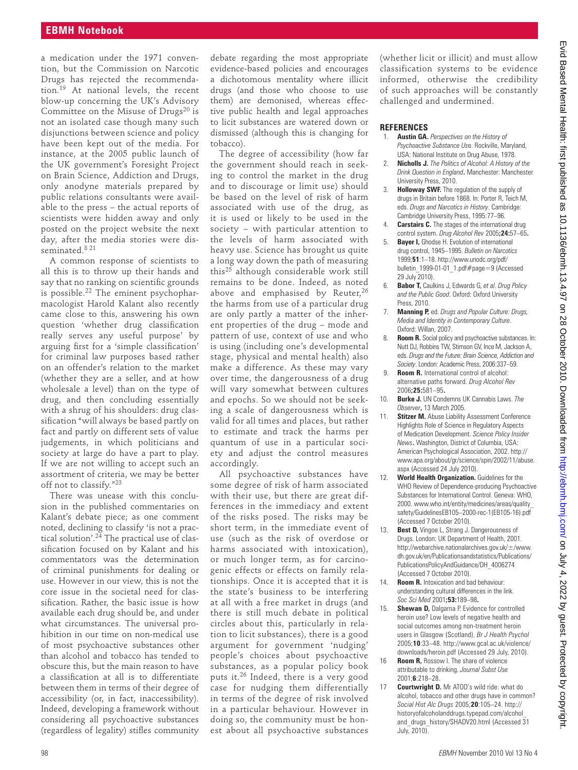a medication under the 1971 convention, but the Commission on Narcotic Drugs has rejected the recommendation.19 At national levels, the recent blow-up concerning the UK's Advisory Committee on the Misuse of Drugs<sup>20</sup> is not an isolated case though many such disjunctions between science and policy have been kept out of the media. For instance, at the 2005 public launch of the UK government's Foresight Project on Brain Science, Addiction and Drugs, only anodyne materials prepared by public relations consultants were available to the press – the actual reports of scientists were hidden away and only posted on the project website the next day, after the media stories were disseminated.<sup>821</sup>

A common response of scientists to all this is to throw up their hands and say that no ranking on scientific grounds is possible.22 The eminent psychopharmacologist Harold Kalant also recently came close to this, answering his own question 'whether drug classification really serves any useful purpose' by arguing first for a 'simple classification' for criminal law purposes based rather on an offender's relation to the market (whether they are a seller, and at how wholesale a level) than on the type of drug, and then concluding essentially with a shrug of his shoulders: drug classification "will always be based partly on fact and partly on different sets of value judgements, in which politicians and society at large do have a part to play. If we are not willing to accept such an assortment of criteria, we may be better off not to classify."<sup>23</sup>

There was unease with this conclusion in the published commentaries on Kalant's debate piece; as one comment noted, declining to classify 'is not a practical solution'.24 The practical use of classification focused on by Kalant and his commentators was the determination of criminal punishments for dealing or use. However in our view, this is not the core issue in the societal need for classification. Rather, the basic issue is how available each drug should be, and under what circumstances. The universal prohibition in our time on non-medical use of most psychoactive substances other than alcohol and tobacco has tended to obscure this, but the main reason to have a classification at all is to differentiate between them in terms of their degree of accessibility (or, in fact, inaccessibility). Indeed, developing a framework without considering all psychoactive substances (regardless of legality) stifles community

debate regarding the most appropriate evidence-based policies and encourages a dichotomous mentality where illicit drugs (and those who choose to use them) are demonised, whereas effective public health and legal approaches to licit substances are watered down or dismissed (although this is changing for tobacco).

The degree of accessibility (how far the government should reach in seeking to control the market in the drug and to discourage or limit use) should be based on the level of risk of harm associated with use of the drug, as it is used or likely to be used in the society – with particular attention to the levels of harm associated with heavy use. Science has brought us quite a long way down the path of measuring this<sup>25</sup> although considerable work still remains to be done. Indeed, as noted above and emphasised by Reuter,<sup>26</sup> the harms from use of a particular drug are only partly a matter of the inherent properties of the drug – mode and pattern of use, context of use and who is using (including one's developmental stage, physical and mental health) also make a difference. As these may vary over time, the dangerousness of a drug will vary somewhat between cultures and epochs. So we should not be seeking a scale of dangerousness which is valid for all times and places, but rather to estimate and track the harms per quantum of use in a particular society and adjust the control measures accordingly. No.12:12 and the set of the set of the set of the set of the set of the set of the set of the set of the set of the set of the set of the set of the set of the set of the set of the set of the set of the set of the set of

All psychoactive substances have some degree of risk of harm associated with their use, but there are great differences in the immediacy and extent of the risks posed. The risks may be short term, in the immediate event of use (such as the risk of overdose or harms associated with intoxication), or much longer term, as for carcinogenic effects or effects on family relationships. Once it is accepted that it is the state's business to be interfering at all with a free market in drugs (and there is still much debate in political circles about this, particularly in relation to licit substances), there is a good argument for government 'nudging' people's choices about psychoactive substances, as a popular policy book puts it.26 Indeed, there is a very good case for nudging them differentially in terms of the degree of risk involved in a particular behaviour. However in doing so, the community must be honest about all psychoactive substances

(whether licit or illicit) and must allow classification systems to be evidence informed, otherwise the credibility of such approaches will be constantly challenged and undermined.

## **REFERENCES**

- 1. **Austin GA.** *Perspectives on the History of Psychoactive Substance Us*e. Rockville, Maryland, USA: National Institute on Drug Abuse, 1978.
- 2. **Nicholls J.** *The Politics of Alcohol: A History of the Drink Question in England***.** Manchester: Manchester University Press, 2010.
- 3. **Holloway SWF.** The regulation of the supply of drugs in Britain before 1868. In: Porter R, Teich M, eds. *Drugs and Narcotics in History*. Cambridge: Cambridge University Press, 1995:77–96.
- 4. **Carstairs C.** The stages of the international drug control system. *Drug Alcohol Rev* 2005**;24:**57–65**.**
- 5. **Bayer I,** Ghodse H. Evolution of international drug control, 1945–1995. *Bulletin on Narcotics* 1999;**51**:1–18. http://www.unodc.org/pdf/ bulletin\_1999-01-01\_1.pdf#page=9 (Accessed 29 July 2010).
- 6. **Babor T,** Caulkins J, Edwards G, *et al*. *Drug Policy and the Public Good*. Oxford: Oxford University Press, 2010.
- 7. **Manning P,** ed. *Drugs and Popular Culture: Drugs, Media and Identity in Contemporary Culture*. Oxford: Willan, 2007.
- 8. **Room R.** Social policy and psychoactive substances. In: Nutt DJ, Robbins TW, Stimson GV, Ince M, Jackson A, eds. *Drugs and the Future: Brain Science, Addiction and Society*. London: Academic Press, 2006:337–59.
- 9. **Room R.** International control of alcohol: alternative paths forward. *Drug Alcohol Rev* 2006**;25:**581–95**.**
- 10. **Burke J.** UN Condemns UK Cannabis Laws. *The Observer***,** 13 March 2005.
- 11. **Stitzer M.** Abuse Liability Assessment Conference Highlights Role of Science in Regulatory Aspects of Medication Development. *Science Policy Insider News***.** Washington, District of Columbia, USA: American Psychological Association, 2002. http:// www.apa.org/about/gr/science/spin/2002/11/abuse. aspx (Accessed 24 July 2010).
- 12. **World Health Organization.** Guidelines for the WHO Review of Dependence-producing Psychoactive Substances for International Control. Geneva: WHO, 2000. www.who.int/entity/medicines/areas/quality\_ safety/GuidelinesEB105–2000-rec-1(EB105-16).pdf (Accessed 7 October 2010).
- 13. **Best D,** Vingoe L, Strang J. Dangerousness of Drugs. London: UK Department of Health, 2001. http://webarchive.nationalarchives.gov.uk/±/www. dh.gov.uk/en/Publicationsandstatistics/Publications/ PublicationsPolicyAndGuidance/DH\_4006274 (Accessed 7 October 2010).
- 14. **Room R.** Intoxication and bad behaviour: understanding cultural differences in the link. *Soc Sci Med* 2001**;53:**189–98**.**
- 15. **Shewan D,** Dalgarna P. Evidence for controlled heroin use? Low levels of negative health and social outcomes among non-treatment heroin users in Glasgow (Scotland). *Br J Health Psychol* 2005;**10**:33–48. http://www.gcal.ac.uk/violence/ downloads/heroin.pdf (Accessed 29 July, 2010).
- 16 **Room R,** Rossow I. The share of violence attributable to drinking. *Journal Subst Use* 2001;**6**:218–28.
- 17 **Courtwright D.** Mr ATOD's wild ride: what do alcohol, tobacco and other drugs have in common? *Social Hist Alc Drugs* 2005;**20**:105–24. http:// historyofalcoholanddrugs.typepad.com/alcohol\_ and drugs history/SHADV20.html (Accessed 31 July, 2010).